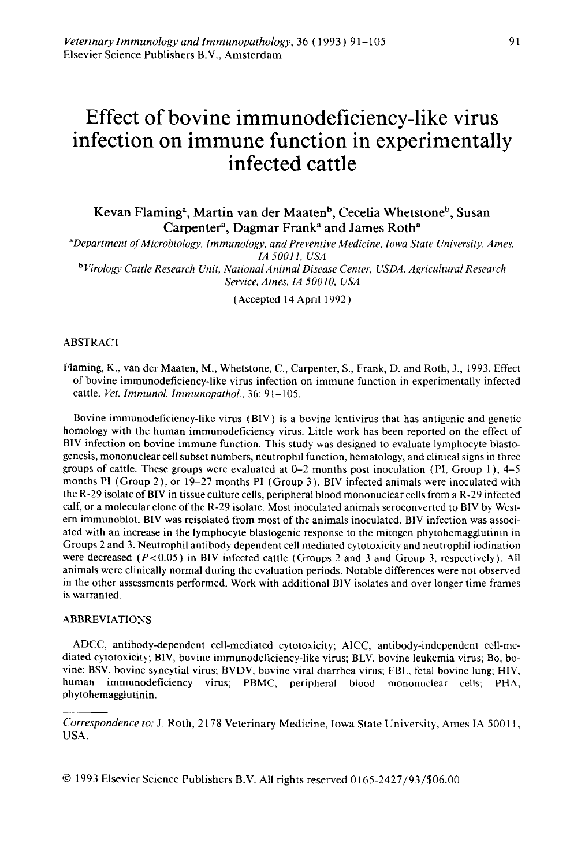# **Effect of bovine immunodeficiency-like virus infection on immune function in experimentally infected cattle**

Kevan Flaming<sup>a</sup>, Martin van der Maaten<sup>b</sup>, Cecelia Whetstone<sup>b</sup>, Susan Carpenter<sup>a</sup>, Dagmar Frank<sup>a</sup> and James Roth<sup>a</sup>

*•Department of Microbiology, Immunology, and Preventive Medicine, Iowa State University, Ames, /A 50011, USA bVirology Cattle Research Unit, National Animal Disease Center, USDA, Agricultural Research Service, Ames, /A 50010, USA* 

(Accepted 14 April 1992)

### ABSTRACT

Flaming, K., van der Maaten, M., Whetstone, C., Carpenter, S., Frank, D. and Roth, J., !993. Effect of bovine immunodeficiency-like virus infection on immune function in experimentally infected cattle. Vet. Immunol. Immunopathol., 36: 91-105.

Bovine immunodeficiency-like virus (BIV) is a bovine lentivirus that has antigenic and genetic homology with the human immunodeficiency virus. Little work has been reported on the effect of BIV infection on bovine immune function. This study was designed to evaluate lymphocyte blastogenesis, mononuclear cell subset numbers, neutrophil function, hematology, and clinical signs in three groups of cattle. These groups were evaluated at  $0-2$  months post inoculation (PI, Group 1),  $4-5$ months PI (Group 2), or 19-27 months PI (Group 3). BIV infected animals were inoculated with the R-29 isolate ofBIV in tissue culture cells, peripheral blood mononuclear cells from a R-29 infected calf, or a molecular clone of the R-29 isolate. Most inoculated animals seroconverted to BIV by Western immunoblot. BIV was reisolated from most of the animals inoculated. BIV infection was associated with an increase in the lymphocyte blastogenic response to the mitogen phytohemagglutinin in Groups 2 and 3. Neutrophil antibody dependent cell mediated cytotoxicity and neutrophil iodination were decreased ( $P < 0.05$ ) in BIV infected cattle (Groups 2 and 3 and Group 3, respectively). All animals were clinically normal during the evaluation periods. Notable differences were not observed in the other assessments performed. Work with additional BIV isolates and over longer time frames is warranted.

### ABBREVIATIONS

ADCC, antibody-dependent cell-mediated cytotoxicity; AICC, antibody-independent cell-mediated cytotoxicity; BIV, bovine immunodeficiency-like virus; BL V, bovine leukemia virus; Bo, bovine; BSV, bovine syncytial virus; BVDV, bovine viral diarrhea virus; FBL, fetal bovine lung; HIV, human immunodeficiency virus; PBMC, peripheral blood mononuclear cells; PHA, phytohemagglutinin.

© 1993 Elsevier Science Publishers B.V. All rights reserved 0165-2427/93/\$06.00

*Correspondence to:* J. Roth, 2178 Veterinary Medicine, Iowa State University, Ames IA 50011, USA.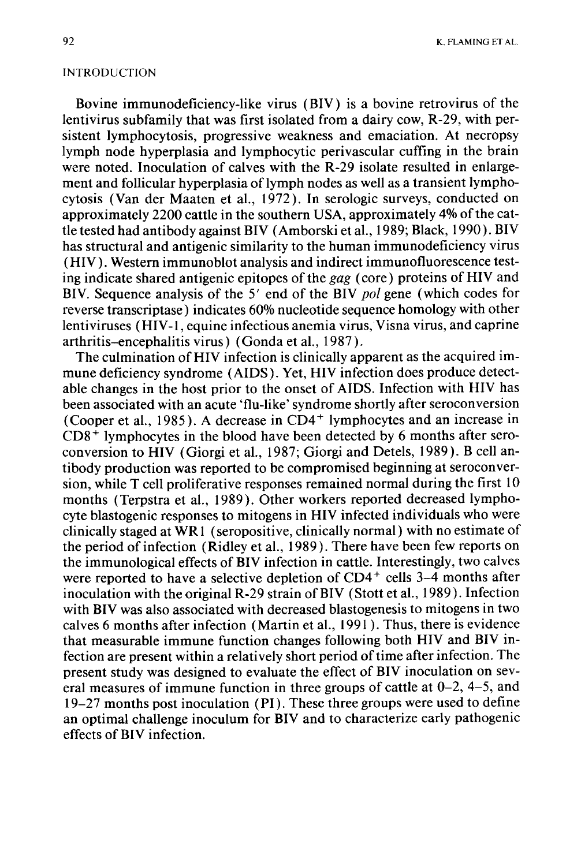### INTRODUCTION

Bovine immunodeficiency-like virus (BIV) is a bovine retrovirus of the lentivirus subfamily that was first isolated from a dairy cow, R-29, with persistent lymphocytosis, progressive weakness and emaciation. At necropsy lymph node hyperplasia and lymphocytic perivascular cuffing in the brain were noted. Inoculation of calves with the R-29 isolate resulted in enlargement and follicular hyperplasia of lymph nodes as well as a transient lymphocytosis (Van der Maaten et al., 1972). In serologic surveys, conducted on approximately 2200 cattle in the southern USA, approximately 4% of the cattle tested had antibody against BIV (Amborski et al., 1989; Black, 1990). BIV has structural and antigenic similarity to the human immunodeficiency virus (HIV). Western immunoblot analysis and indirect immunofluorescence testing indicate shared antigenic epitopes of the gag (core) proteins of HIV and BIV. Sequence analysis of the 5' end of the BIV *pol* gene (which codes for reverse transcriptase) indicates 60% nucleotide sequence homology with other lentiviruses (HIV-1, equine infectious anemia virus, Visna virus, and caprine arthritis-encephalitis virus) (Gonda et al., 1987).

The culmination of HIV infection is clinically apparent as the acquired immune deficiency syndrome (AIDS). Yet, HIV infection does produce detectable changes in the host prior to the onset of AIDS. Infection with HIV has been associated with an acute 'flu-like' syndrome shortly after seroconversion (Cooper et al., 1985). A decrease in  $CD4<sup>+</sup>$  lymphocytes and an increase in  $CD8<sup>+</sup>$  lymphocytes in the blood have been detected by 6 months after seroconversion to HIV (Giorgi et al., 1987; Giorgi and Detels, 1989). B cell antibody production was reported to be compromised beginning at seroconversion, while T cell proliferative responses remained normal during the first 10 months (Terpstra et al., 1989 ). Other workers reported decreased lymphocyte blastogenic responses to mitogens in HIV infected individuals who were clinically staged at WR 1 (seropositive, clinically normal) with no estimate of the period of infection (Ridley et al., 1989). There have been few reports on the immunological effects of BIV infection in cattle. Interestingly, two calves were reported to have a selective depletion of CD4<sup>+</sup> cells 3-4 months after inoculation with the original R-29 strain ofBIV (Stott et al., 1989). Infection with BIV was also associated with decreased blastogenesis to mitogens in two calves 6 months after infection (Martin et al., 1991). Thus, there is evidence that measurable immune function changes following both HIV and BIV infection are present within a relatively short period of time after infection. The present study was designed to evaluate the effect of BIV inoculation on several measures of immune function in three groups of cattle at 0-2, 4-5, and 19-27 months post inoculation (PI). These three groups were used to define an optimal challenge inoculum for BIV and to characterize early pathogenic effects of BIV infection.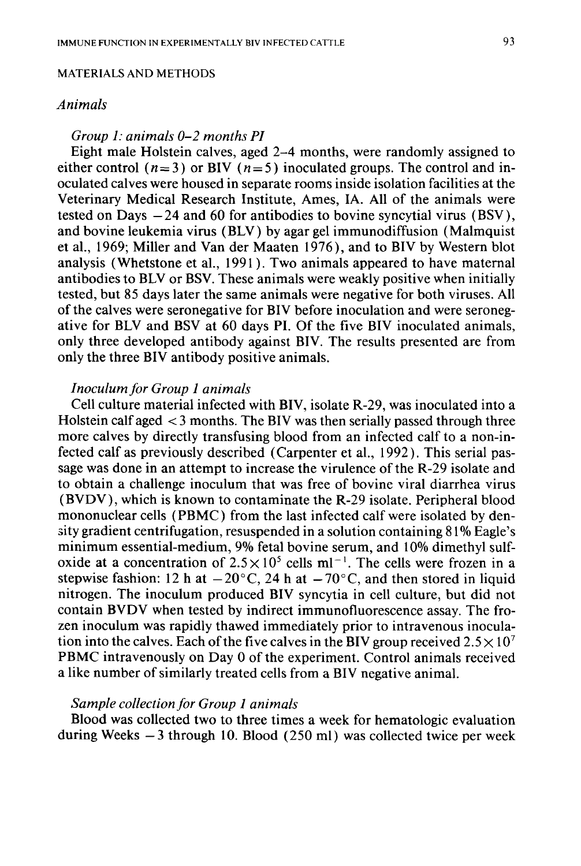### MATERIALS AND METHODS

### *Animals*

# *Group 1: animals 0-2 months PI*

Eight male Holstein calves, aged 2-4 months, were randomly assigned to either control ( $n=3$ ) or BIV ( $n=5$ ) inoculated groups. The control and inoculated calves were housed in separate rooms inside isolation facilities at the Veterinary Medical Research Institute, Ames, lA. All of the animals were tested on Days  $-24$  and 60 for antibodies to bovine syncytial virus (BSV), and bovine leukemia virus (BLV) by agar gel immunodiffusion (Malmquist et al., 1969; Miller and Vander Maaten 1976 ), and to BIV by Western blot analysis (Whetstone et al., 1991). Two animals appeared to have maternal antibodies to BLV or BSV. These animals were weakly positive when initially tested, but 85 days later the same animals were negative for both viruses. All of the calves were seronegative for BIV before inoculation and were seronegative for BLV and BSV at 60 days PI. Of the five BIV inoculated animals, only three developed antibody against BIV. The results presented are from only the three BIV antibody positive animals.

# *Inoculum for Group 1 animals*

Cell culture material infected with BIV, isolate R-29, was inoculated into a Holstein calf aged < 3 months. The BIV was then serially passed through three more calves by directly transfusing blood from an infected calf to a non-infected calf as previously described (Carpenter et al., 1992). This serial passage was done in an attempt to increase the virulence of the R-29 isolate and to obtain a challenge inoculum that was free of bovine viral diarrhea virus (BVDV), which is known to contaminate the R-29 isolate. Peripheral blood mononuclear cells ( PBMC) from the last infected calf were isolated by den- <>ity gradient centrifugation, resuspended in a solution containing 81% Eagle's minimum essential-medium, 9% fetal bovine serum, and 10% dimethyl sulfoxide at a concentration of  $2.5 \times 10^5$  cells ml<sup>-1</sup>. The cells were frozen in a stepwise fashion: 12 h at  $-20^{\circ}$ C, 24 h at  $-70^{\circ}$ C, and then stored in liquid nitrogen. The inoculum produced BIV syncytia in cell culture, but did not contain BVDV when tested by indirect immunofluorescence assay. The frozen inoculum was rapidly thawed immediately prior to intravenous inoculation into the calves. Each of the five calves in the BIV group received  $2.5 \times 10^7$ PBMC intravenously on Day 0 of the experiment. Control animals received a like number of similarly treated cells from a BIV negative animal.

# *Sample collection for Group 1 animals*

Blood was collected two to three times a week for hematologic evaluation during Weeks  $-3$  through 10. Blood (250 ml) was collected twice per week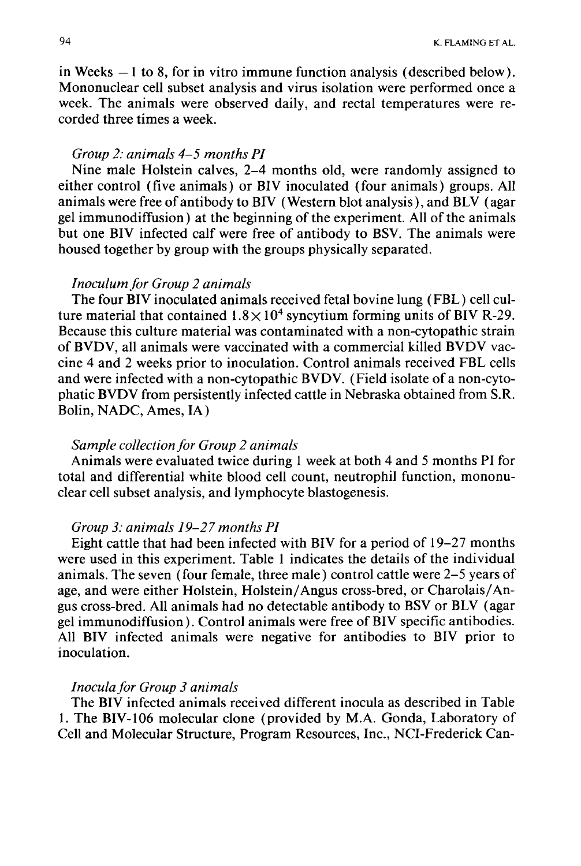in Weeks  $-1$  to 8, for in vitro immune function analysis (described below). Mononuclear cell subset analysis and virus isolation were performed once a week. The animals were observed daily, and rectal temperatures were recorded three times a week.

# *Group 2: animals 4-5 months PI*

Nine male Holstein calves, 2-4 months old, were randomly assigned to either control (five animals) or BIV inoculated (four animals) groups. All animals were free of antibody to BIV (Western blot analysis), and BLV (agar gel immunodiffusion) at the beginning of the experiment. All of the animals but one BIV infected calf were free of antibody to BSV. The animals were housed together by group with the groups physically separated.

# *Inoculum for Group 2 animals*

The four BIV inoculated animals received fetal bovine lung ( FBL) cell culture material that contained  $1.8\times10^4$  syncytium forming units of BIV R-29. Because this culture material was contaminated with a non-cytopathic strain of BVDV, all animals were vaccinated with a commercial killed BVDV vaccine 4 and 2 weeks prior to inoculation. Control animals received FBL cells and were infected with a non-cytopathic BVDV. (Field isolate of a non-cytophatic BVDV from persistently infected cattle in Nebraska obtained from S.R. Bolin, NADC, Ames, lA)

# *Sample collection for Group 2 animals*

Animals were evaluated twice during 1 week at both 4 and 5 months PI for total and differential white blood cell count, neutrophil function, mononuclear cell subset analysis, and lymphocyte blastogenesis.

# *Group 3: animals 19-27 months PI*

Eight cattle that had been infected with BIV for a period of 19-27 months were used in this experiment. Table 1 indicates the details of the individual animals. The seven (four female, three male) control cattle were 2-5 years of age, and were either Holstein, Holstein/ Angus cross-bred, or Charolais/ Angus cross-bred. All animals had no detectable antibody to BSV or BLV (agar gel immunodiffusion). Control animals were free of BIV specific antibodies. All BIV infected animals were negative for antibodies to BIV prior to inoculation.

# *Inocula for Group 3 animals*

The BIV infected animals received different inocula as described in Table 1. The BIV-106 molecular clone (provided by M.A. Gonda, Laboratory of Cell and Molecular Structure, Program Resources, Inc., NCI-Frederick Can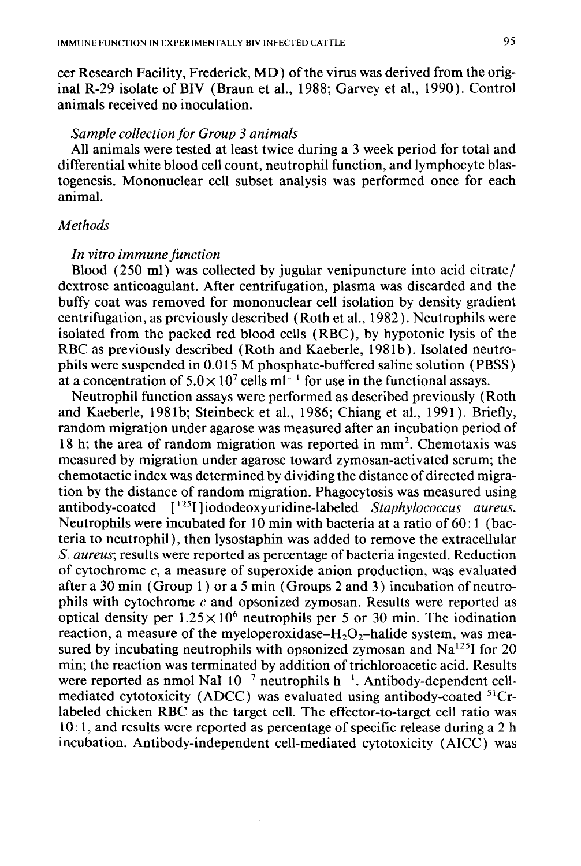cer Research Facility, Frederick, MD) of the virus was derived from the original R-29 isolate of BIV (Braun et al., 1988; Garvey et al., 1990). Control animals received no inoculation.

### *Sample collection for Group 3 animals*

All animals were tested at least twice during a 3 week period for total and differential white blood cell count, neutrophil function, and lymphocyte blastogenesis. Mononuclear cell subset analysis was performed once for each animal.

# *Methods*

### *In vitro immune function*

Blood (250 ml) was collected by jugular venipuncture into acid citrate/ dextrose anticoagulant. After centrifugation, plasma was discarded and the buffy coat was removed for mononuclear cell isolation by density gradient centrifugation, as previously described (Roth et al., 1982 ). Neutrophils were isolated from the packed red blood cells ( RBC), by hypotonic lysis of the RBC as previously described (Roth and Kaeberle, 1981b). Isolated neutrophils were suspended in 0.015 M phosphate-buffered saline solution ( PBSS) at a concentration of  $5.0 \times 10^7$  cells ml<sup>-1</sup> for use in the functional assays.

Neutrophil function assays were performed as described previously (Roth and Kaeberle, 1981b; Steinbeck et al., 1986; Chiang et al., 1991). Briefly, random migration under agarose was measured after an incubation period of 18 h; the area of random migration was reported in  $mm<sup>2</sup>$ . Chemotaxis was measured by migration under agarose toward zymosan-activated serum; the chemotactic index was determined by dividing the distance of directed migration by the distance of random migration. Phagocytosis was measured using antibody-coated [ 125I]iododeoxyuridine-labeled *Staphylococcus aureus.*  Neutrophils were incubated for 10 min with bacteria at a ratio of  $60:1$  (bacteria to neutrophil), then lysostaphin was added to remove the extracellular *S. aureus;* results were reported as percentage of bacteria ingested. Reduction of cytochrome *c,* a measure of superoxide anion production, was evaluated after a 30 min (Group 1 ) or a 5 min (Groups 2 and 3) incubation of neutrophils with cytochrome *c* and opsonized zymosan. Results were reported as optical density per  $1.25 \times 10^6$  neutrophils per 5 or 30 min. The iodination reaction, a measure of the myeloperoxidase– $H_2O_2$ –halide system, was measured by incubating neutrophils with opsonized zymosan and  $Na<sup>125</sup>I$  for 20 min; the reaction was terminated by addition of trichloroacetic acid. Results were reported as nmol NaI  $10^{-7}$  neutrophils h<sup>-1</sup>. Antibody-dependent cellmediated cytotoxicity (ADCC) was evaluated using antibody-coated <sup>51</sup>Crlabeled chicken RBC as the target cell. The effector-to-target cell ratio was 10: 1, and results were reported as percentage of specific release during a 2 h incubation. Antibody-independent cell-mediated cytotoxicity (AICC) was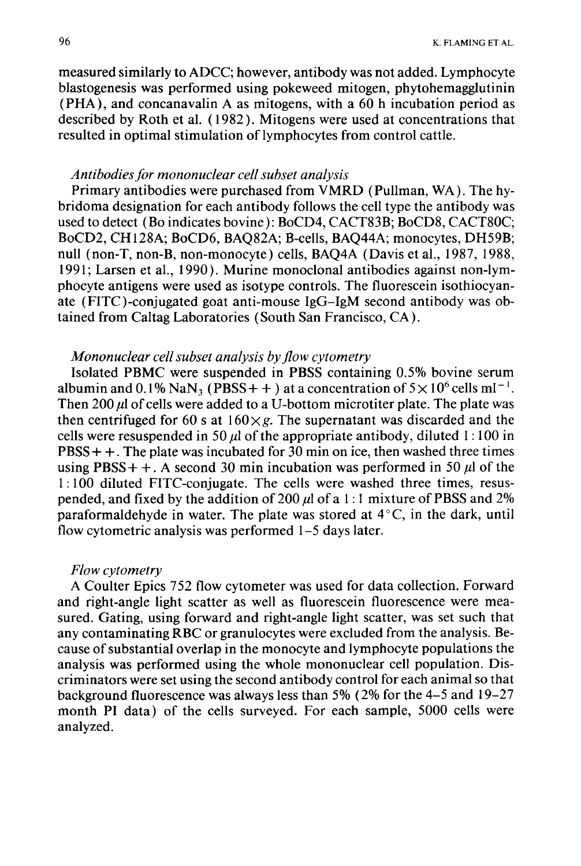measured similarly to ADCC; however, antibody was not added. Lymphocyte blastogenesis was performed using pokeweed mitogen, phytohemagglutinin (PHA), and concanavalin A as mitogens, with a 60 h incubation period as described by Roth et al. ( 1982). Mitogens were used at concentrations that resulted in optimal stimulation of lymphocytes from control cattle.

### *Antibodies for mononuclear cell subset analysis*

Primary antibodies were purchased from VMRD (Pullman, WA). The hybridoma designation for each antibody follows the cell type the antibody was used to detect (Bo indicates bovine): BoCD4, CACT83B; BoCD8, CACT80C; BoCD2, CH128A; BoCD6, BAQ82A; B-cells, BAQ44A; monocytes, DH59B; null (non-T, non-B, non-monocyte) cells, BAQ4A (Davis et al., 1987, 1988, 1991; Larsen et al., 1990). Murine monoclonal antibodies against non-lymphocyte antigens were used as isotype controls. The fluorescein isothiocyanate (FITC)-conjugated goat anti-mouse IgG-IgM second antibody was obtained from Caltag Laboratories (South San Francisco, CA).

# *Mononuclear cell subset analysis by flow cytometry*

Isolated PBMC were suspended in PBSS containing 0.5% bovine serum albumin and  $0.1\%$  NaN<sub>3</sub> (PBSS + +) at a concentration of  $5 \times 10^6$  cells ml<sup>-1</sup>. Then 200  $\mu$  of cells were added to a U-bottom microtiter plate. The plate was then centrifuged for 60 s at  $160 \times g$ . The supernatant was discarded and the cells were resuspended in 50  $\mu$  of the appropriate antibody, diluted 1:100 in  $PBS + +$ . The plate was incubated for 30 min on ice, then washed three times using PBSS + +. A second 30 min incubation was performed in 50  $\mu$  of the 1 : 100 diluted FITC-conjugate. The cells were washed three times, resuspended, and fixed by the addition of 200  $\mu$ l of a 1:1 mixture of PBSS and 2% paraformaldehyde in water. The plate was stored at  $4^{\circ}$ C, in the dark, until flow cytometric analysis was performed 1-5 days later.

#### *Flow cytometry*

A Coulter Epics 752 flow cytometer was used for data collection. Forward and right-angle light scatter as well as fluorescein fluorescence were measured. Gating, using forward and right-angle light scatter, was set such that any contaminating RBC or granulocytes were excluded from the analysis. Because of substantial overlap in the monocyte and lymphocyte populations the analysis was performed using the whole mononuclear cell population. Discriminators were set using the second antibody control for each animal so that background fluorescence was always less than 5% (2% for the 4-5 and 19-27 month PI data) of the cells surveyed. For each sample, 5000 cells were analyzed.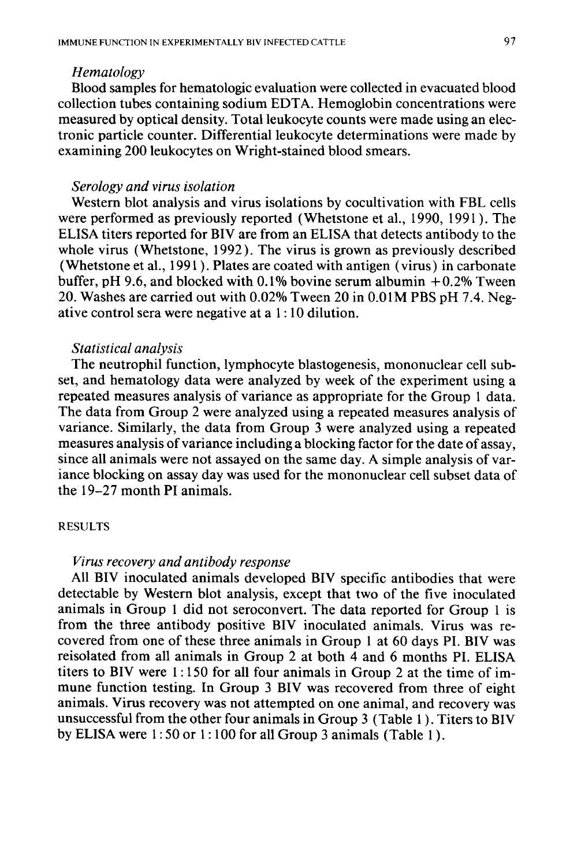### *Hematology*

Blood samples for hematologic evaluation were collected in evacuated blood collection tubes containing sodium EDTA. Hemoglobin concentrations were measured by optical density. Total leukocyte counts were made using an electronic particle counter. Differential leukocyte determinations were made by examining 200 leukocytes on Wright-stained blood smears.

# *Serology and virus isolation*

Western blot analysis and virus isolations by cocultivation with FBL cells were performed as previously reported (Whetstone et al., 1990, 1991 ). The ELISA titers reported for BIV are from an ELISA that detects antibody to the whole virus (Whetstone, 1992). The virus is grown as previously described (Whetstone et al., 1991). Plates are coated with antigen (virus) in carbonate buffer, pH 9.6, and blocked with  $0.1\%$  bovine serum albumin  $+0.2\%$  Tween 20. Washes are carried out with 0.02% Tween 20 in 0.01M PBS pH 7.4. Negative control sera were negative at a 1 : 10 dilution.

# *Statistical analysis*

The neutrophil function, lymphocyte blastogenesis, mononuclear cell subset, and hematology data were analyzed by week of the experiment using a repeated measures analysis of variance as appropriate for the Group 1 data. The data from Group 2 were analyzed using a repeated measures analysis of variance. Similarly, the data from Group 3 were analyzed using a repeated measures analysis of variance including a blocking factor for the date of assay, since all animals were not assayed on the same day. A simple analysis of variance blocking on assay day was used for the mononuclear cell subset data of the 19-27 month PI animals.

# RESULTS

# *Virus recovery and antibody response*

All BIV inoculated animals developed BIV specific antibodies that were detectable by Western blot analysis, except that two of the five inoculated animals in Group 1 did not seroconvert. The data reported for Group 1 is from the three antibody positive BIV inoculated animals. Virus was recovered from one of these three animals in Group 1 at 60 days PI. BIV was reisolated from all animals in Group 2 at both 4 and 6 months Pl. ELISA titers to BIV were 1 : 150 for all four animals in Group 2 at the time of immune function testing. In Group 3 BIV was recovered from three of eight animals. Virus recovery was not attempted on one animal, and recovery was unsuccessful from the other four animals in Group 3 (Table 1 ) . Titers to BIV by ELISA were  $1:50$  or  $1:100$  for all Group 3 animals (Table 1).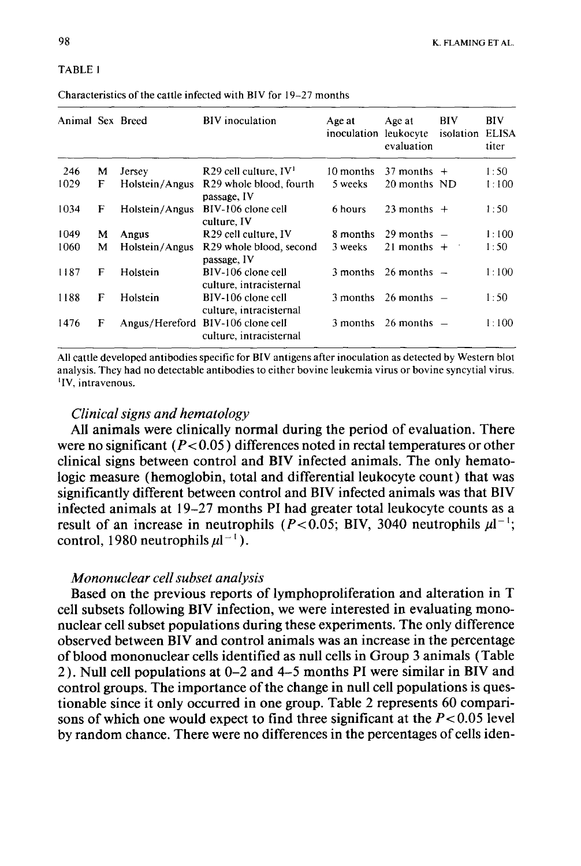#### TABLE I

| Animal Sex Breed |   |                | <b>BIV</b> inoculation                             | Age at<br>inoculation leukocyte | Age at<br>evaluation | BIV<br>isolation | BIV<br><b>ELISA</b><br>titer |
|------------------|---|----------------|----------------------------------------------------|---------------------------------|----------------------|------------------|------------------------------|
| 246              | м | Jersey         | $R29$ cell culture, $IV1$                          | 10 months                       | $37$ months $+$      |                  | 1:50                         |
| 1029             | F | Holstein/Angus | R <sub>29</sub> whole blood, fourth<br>passage, IV | 5 weeks                         | 20 months ND         |                  | 1:100                        |
| 1034             | F | Holstein/Angus | BIV-106 clone cell<br>culture, IV                  | 6 hours                         | 23 months $+$        |                  | 1:50                         |
| 1049             | М | Angus          | R <sub>29</sub> cell culture, IV                   | 8 months                        | $29$ months $-$      |                  | 1:100                        |
| 1060             | м | Holstein/Angus | R <sub>29</sub> whole blood, second<br>passage, IV | 3 weeks                         | 21 months $+$        |                  | 1:50                         |
| 1187             | F | Holstein       | BIV-106 clone cell<br>culture, intracisternal      | 3 months                        | $26$ months $-$      |                  | 1:100                        |
| 1188             | F | Holstein       | BIV-106 clone cell<br>culture, intracisternal      | 3 months                        | $26$ months $-$      |                  | 1:50                         |
| 1476             | F | Angus/Hereford | BIV-106 clone cell<br>culture, intracisternal      | 3 months                        | $26$ months $-$      |                  | 1:100                        |

Characteristics of the cattle infected with BIV for 19-27 months

All cattle developed antibodies specific for BIV antigens after inoculation as detected by Western blot analysis. They had no detectable antibodies to either bovine leukemia virus or bovine syncytial virus. 1 <sup>1</sup>IV, intravenous.

## *Clinical signs and hematology*

All animals were clinically normal during the period of evaluation. There were no significant ( $P < 0.05$ ) differences noted in rectal temperatures or other clinical signs between control and BIV infected animals. The only hematologic measure (hemoglobin, total and differential leukocyte count) that was significantly different between control and BIV infected animals was that BIV infected animals at 19-27 months PI had greater total leukocyte counts as a result of an increase in neutrophils ( $P < 0.05$ ; BIV, 3040 neutrophils  $\mu l^{-1}$ ; control, 1980 neutrophils  $\mu l^{-1}$ ).

# *Mononuclear cell subset analysis*

Based on the previous reports of lymphoproliferation and alteration in T cell subsets following BIV infection, we were interested in evaluating mononuclear cell subset populations during these experiments. The only difference observed between BIV and control animals was an increase in the percentage of blood mononuclear cells identified as null cells in Group 3 animals (Table 2 ). Null cell populations at 0-2 and 4-5 months PI were similar in BIV and control groups. The importance of the change in null cell populations is questionable since it only occurred in one group. Table 2 represents 60 comparisons of which one would expect to find three significant at the  $P < 0.05$  level by random chance. There were no differences in the percentages of cells iden-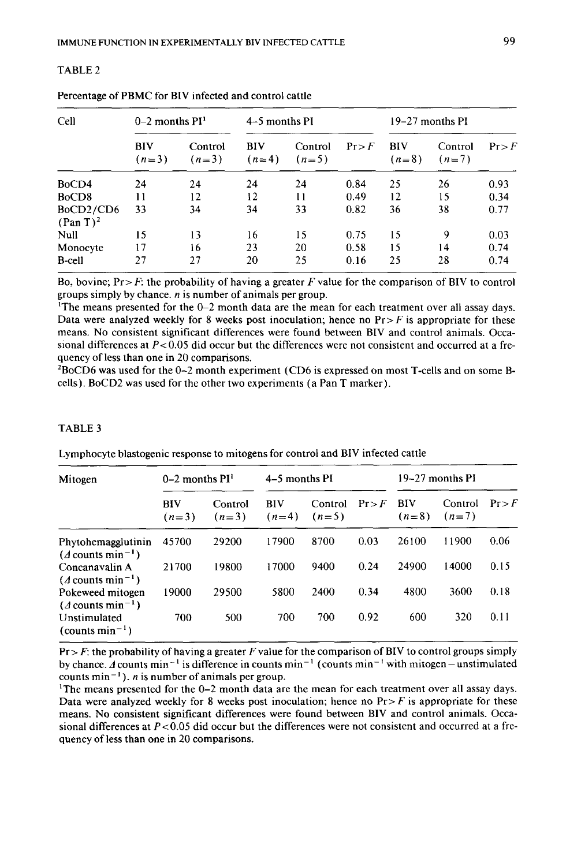| Cell                              | $0-2$ months $PI1$ |                    | 4–5 months PI  |                    |      | 19–27 months PI       |                    |        |
|-----------------------------------|--------------------|--------------------|----------------|--------------------|------|-----------------------|--------------------|--------|
|                                   | BIV<br>$(n=3)$     | Control<br>$(n=3)$ | BIV<br>$(n=4)$ | Control<br>$(n=5)$ | Pr   | <b>BIV</b><br>$(n=8)$ | Control<br>$(n=7)$ | Pr > F |
| BoCD4                             | 24                 | 24                 | 24             | 24                 | 0.84 | 25                    | 26                 | 0.93   |
| BoCD <sub>8</sub>                 | 11                 | 12                 | 12             | 11                 | 0.49 | 12                    | 15                 | 0.34   |
| BoCD2/CD6<br>(Pan T) <sup>2</sup> | 33                 | 34                 | 34             | 33                 | 0.82 | 36                    | 38                 | 0.77   |
| Null                              | 15                 | 13                 | 16             | 15                 | 0.75 | 15                    | 9                  | 0.03   |
| Monocyte                          | 17                 | 16                 | 23             | 20                 | 0.58 | 15                    | 14                 | 0.74   |
| <b>B-cell</b>                     | 27                 | 27                 | 20             | 25                 | 0.16 | 25                    | 28                 | 0.74   |

| Percentage of PBMC for BIV infected and control cattle |  |  |
|--------------------------------------------------------|--|--|

TABLE2

Bo, bovine; Pr> *F:* the probability of having a greater *F* value for the comparison of BIV to control groups simply by chance. *n* is number of animals per group.

'The means presented for the 0-2 month data are the mean for each treatment over all assay days. Data were analyzed weekly for 8 weeks post inoculation; hence no  $Pr > F$  is appropriate for these means. No consistent significant differences were found between BIV and control animals. Occasional differences at *P<0.05* did occur but the differences were not consistent and occurred at a frequency of less than one in 20 comparisons.

 $B_8C$ D6 was used for the 0-2 month experiment (CD6 is expressed on most T-cells and on some Bcells). BoCD2 was used for the other two experiments (a Pan T marker).

#### TABLE 3

| Mitogen                                                   | $0-2$ months $PI1$    |                    | 4–5 months PI         |                    |      | 19–27 months PI       |                    |        |
|-----------------------------------------------------------|-----------------------|--------------------|-----------------------|--------------------|------|-----------------------|--------------------|--------|
|                                                           | <b>BIV</b><br>$(n=3)$ | Control<br>$(n=3)$ | <b>BIV</b><br>$(n=4)$ | Control<br>$(n=5)$ | Pr   | <b>BIV</b><br>$(n=8)$ | Control<br>$(n=7)$ | Pr > F |
| Phytohemagglutinin<br>$(d$ counts min <sup>-1</sup> )     | 45700                 | 29200              | 17900                 | 8700               | 0.03 | 26100                 | 11900              | 0.06   |
| Concanavalin A<br>$(A$ counts min <sup>-1</sup> )         | 21700                 | 19800              | 17000                 | 9400               | 0.24 | 24900                 | 14000              | 0.15   |
| Pokeweed mitogen<br>$(d$ counts min <sup>-1</sup> )       | 19000                 | 29500              | 5800                  | 2400               | 0.34 | 4800                  | 3600               | 0.18   |
| Unstimulated<br>$\frac{1}{2}$ (counts min <sup>-1</sup> ) | 700                   | 500                | 700                   | 700                | 0.92 | 600                   | 320                | 0.11   |

Lymphocyte blastogenic response to mitogens for control and BIV infected cattle

 $Pr$  *F*: the probability of having a greater F value for the comparison of BIV to control groups simply by chance. A counts min<sup>-1</sup> is difference in counts min<sup>-1</sup> (counts min<sup>-1</sup> with mitogen-unstimulated counts  $min^{-1}$ ). *n* is number of animals per group.

'The means presented for the 0-2 month data are the mean for each treatment over all assay days. Data were analyzed weekly for 8 weeks post inoculation; hence no  $Pr>F$  is appropriate for these means. No consistent significant differences were found between BIV and control animals. Occasional differences at *P<0.05* did occur but the differences were not consistent and occurred at a frequency of less than one in 20 comparisons.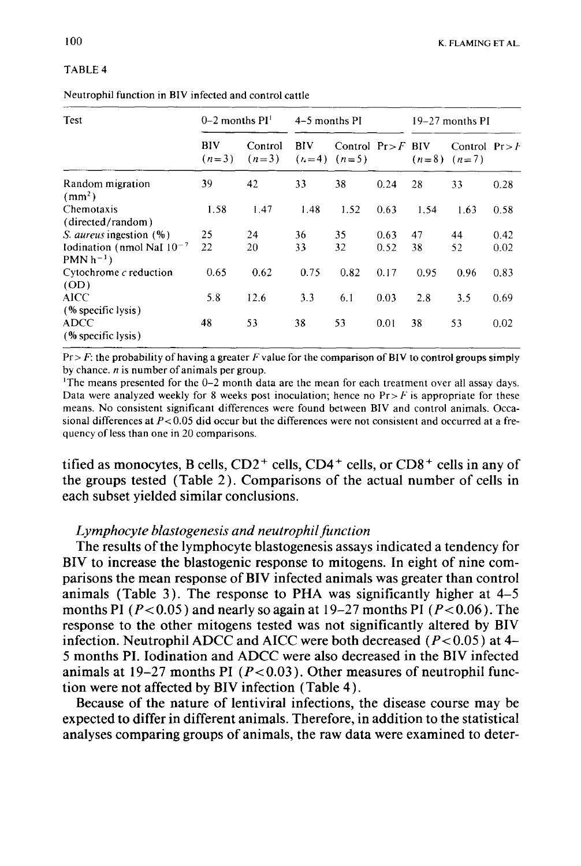#### TABLE4

|  | Neutrophil function in BIV infected and control cattle |
|--|--------------------------------------------------------|
|--|--------------------------------------------------------|

| Test                                               | $0-2$ months $PI1$ |                    | 4–5 months PI |                                         |      | 19–27 months PI |                                     |      |
|----------------------------------------------------|--------------------|--------------------|---------------|-----------------------------------------|------|-----------------|-------------------------------------|------|
|                                                    | BIV<br>$(n=3)$     | Control<br>$(n=3)$ | BIV           | Control $Pr > F$ BIV<br>$(n=4)$ $(n=5)$ |      |                 | Control $Pr > F$<br>$(n=8)$ $(n=7)$ |      |
| Random migration<br>(mm <sup>2</sup> )             | 39                 | 42                 | 33            | 38                                      | 0.24 | 28              | 33                                  | 0.28 |
| Chemotaxis                                         | 1.58               | 1.47               | 1.48          | 1.52                                    | 0.63 | 1.54            | 1.63                                | 0.58 |
| (directed/random)                                  |                    |                    |               |                                         |      |                 |                                     |      |
| <i>S. aureus</i> ingestion (%)                     | 25                 | 24                 | 36            | 35                                      | 0.63 | 47              | 44                                  | 0.42 |
| Iodination (nmol NaI $10^{-7}$<br>$PMN h^{-1}$     | 22                 | 20                 | 33            | 32                                      | 0.52 | 38              | 52                                  | 0.02 |
| Cytochrome $c$ reduction<br>(OD)                   | 0.65               | 0.62               | 0.75          | 0.82                                    | 0.17 | 0.95            | 0.96                                | 0.83 |
| AICC                                               | 5.8                | 12.6               | 3.3           | 6.1                                     | 0.03 | 2.8             | 3.5                                 | 0.69 |
| (% specific lysis)<br>ADCC<br>$(%$ specific lysis) | 48                 | 53                 | 38            | 53                                      | 0.01 | 38              | 53                                  | 0.02 |

Pr > *F:* the probability of having a greater *F* value for the comparison of BIV to control groups simply by chance.  $n$  is number of animals per group.

The means presented for the 0-2 month data are the mean for each treatment over all assay days. Data were analyzed weekly for 8 weeks post inoculation; hence no  $Pr \geq F$  is appropriate for these means. No consistent significant differences were found between BIV and control animals. Occasional differences at  $P < 0.05$  did occur but the differences were not consistent and occurred at a frequency of less than one in 20 comparisons.

tified as monocytes, B cells,  $CD2^+$  cells,  $CD4^+$  cells, or  $CD8^+$  cells in any of the groups tested (Table 2). Comparisons of the actual number of cells in each subset yielded similar conclusions.

# *Lymphocyte blastogenesis and neutrophil function*

The results of the lymphocyte blastogenesis assays indicated a tendency for BIV to increase the blastogenic response to mitogens. In eight of nine comparisons the mean response of BIV infected animals was greater than control animals (Table 3). The response to PHA was significantly higher at 4-5 months PI ( $P < 0.05$ ) and nearly so again at 19-27 months PI ( $P < 0.06$ ). The response to the other mitogens tested was not significantly altered by BIV infection. Neutrophil ADCC and AICC were both decreased ( $P < 0.05$ ) at 4-5 months PI. Iodination and ADCC were also decreased in the BIV infected animals at 19-27 months PI ( $P < 0.03$ ). Other measures of neutrophil function were not affected by BIV infection (Table 4).

Because of the nature of lentiviral infections, the disease course may be expected to differ in different animals. Therefore, in addition to the statistical analyses comparing groups of animals, the raw data were examined to deter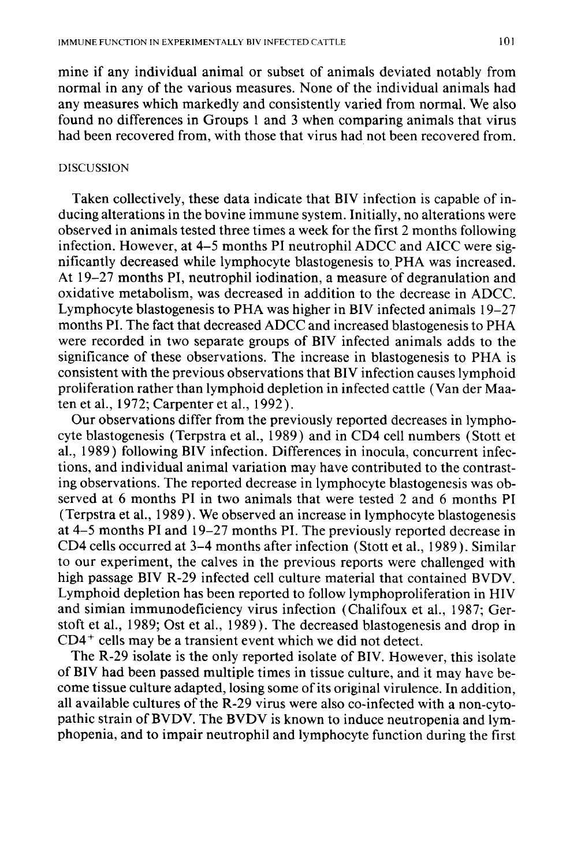mine if any individual animal or subset of animals deviated notably from normal in any of the various measures. None of the individual animals had any measures which markedly and consistently varied from normal. We also found no differences in Groups 1 and 3 when comparing animals that virus had been recovered from, with those that virus had not been recovered from.

### DISCUSSION

Taken collectively, these data indicate that BIV infection is capable of inducing alterations in the bovine immune system. Initially, no alterations were observed in animals tested three times a week for the first 2 months following infection. However, at 4-5 months PI neutrophil ADCC and AICC were significantly decreased while lymphocyte blastogenesis to. PHA was increased. At 19-27 months PI, neutrophil iodination, a measure of degranulation and oxidative metabolism, was decreased in addition to the decrease in ADCC. Lymphocyte blastogenesis to PHA was higher in BIV infected animals 19-27 months PI. The fact that decreased ADCC and increased blastogenesis to PHA were recorded in two separate groups of BIV infected animals adds to the significance of these observations. The increase in blastogenesis to PHA is consistent with the previous observations that BIV infection causes lymphoid proliferation rather than lymphoid depletion in infected cattle (Vander Maaten et al., 1972; Carpenter et al., 1992).

Our observations differ from the previously reported decreases in lymphocyte blastogenesis (Terpstra et al., 1989) and in CD4 cell numbers (Stott et al., 1989) following BIV infection. Differences in inocula, concurrent infections, and individual animal variation may have contributed to the contrasting observations. The reported decrease in lymphocyte blastogenesis was observed at 6 months PI in two animals that were tested 2 and 6 months PI (Terpstra et al., 1989). We observed an increase in lymphocyte blastogenesis at 4-5 months PI and 19-27 months PI. The previously reported decrease in CD4 cells occurred at 3-4 months after infection (Stott et al., 1989). Similar to our experiment, the calves in the previous reports were challenged with high passage BIV R-29 infected cell culture material that contained BVDV. Lymphoid depletion has been reported to follow lymphoproliferation in HIV and simian immunodeficiency virus infection (Chalifoux et al., 1987; Gerstoft et al., 1989; Ost et al., 1989). The decreased blastogenesis and drop in  $CD4<sup>+</sup>$  cells may be a transient event which we did not detect.

The R-29 isolate is the only reported isolate of BIV. However, this isolate of BIV had been passed multiple times in tissue culture, and it may have become tissue culture adapted, losing some of its original virulence. In addition, all available cultures of the R-29 virus were also co-infected with a non-cytopathic strain of BVDV. The BVDV is known to induce neutropenia and lymphopenia, and to impair neutrophil and lymphocyte function during the first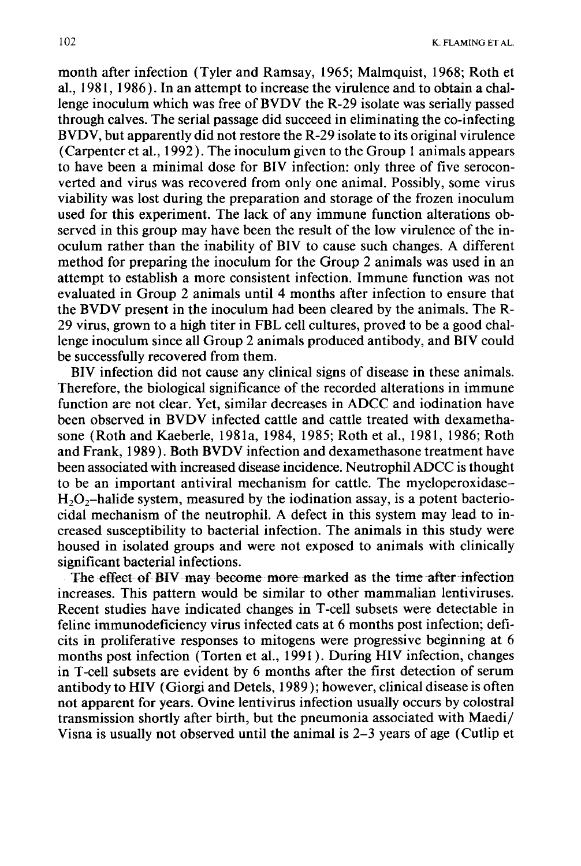month after infection (Tyler and Ramsay, 1965; Malmquist, 1968; Roth et al., 1981, 1986). In an attempt to increase the virulence and to obtain a challenge inoculum which was free of BVDV the R-29 isolate was serially passed through calves. The serial passage did succeed in eliminating the co-infecting BVDV, but apparently did not restore the R-29 isolate to its original virulence (Carpenter et al., 1992). The inoculum given to the Group 1 animals appears to have been a minimal dose for BIV infection: only three of five seroconverted and virus was recovered from only one animal. Possibly, some virus viability was lost during the preparation and storage of the frozen inoculum used for this experiment. The lack of any immune function alterations observed in this group may have been the result of the low virulence of the inoculum rather than the inability of BIV to cause such changes. A different method for preparing the inoculum for the Group 2 animals was used in an attempt to establish a more consistent infection. Immune function was not evaluated in Group 2 animals until 4 months after infection to ensure that the BVDV present in the inoculum had been cleared by the animals. The R-29 virus, grown to a high titer in FBL cell cultures, proved to be a good challenge inoculum since all Group 2 animals produced antibody, and BIV could be successfully recovered from them.

BIV infection did not cause any clinical signs of disease in these animals. Therefore, the biological significance of the recorded alterations in immune function are not clear. Yet, similar decreases in ADCC and iodination have been observed in BVDV infected cattle and cattle treated with dexamethasone (Roth and Kaeberle, 198la, 1984, 1985; Roth et al., 1981, 1986; Roth and Frank, 1989). Both BVDV infection and dexamethasone treatment have been associated with increased disease incidence. Neutrophil ADCC is thought to be an important antiviral mechanism for cattle. The myeloperoxidase- $H<sub>2</sub>O<sub>2</sub>$ -halide system, measured by the iodination assay, is a potent bacteriocidal mechanism of the neutrophil. A defect in this system may lead to increased susceptibility to bacterial infection. The animals in this study were housed in isolated groups and were not exposed to animals with clinically significant bacterial infections.

The effect of BIV may become more marked as the time after infection increases. This pattern would be similar to other mammalian lentiviruses. Recent studies have indicated changes in T-cell subsets were detectable in feline immunodeficiency virus infected cats at 6 months post infection; deficits in proliferative responses to mitogens were progressive beginning at 6 months post infection (Torten et al., 1991 ). During HIV infection, changes in T -cell subsets are evident by 6 months after the first detection of serum antibody to HIV (Giorgi and Detels, 1989); however, clinical disease is often not apparent for years. Ovine lentivirus infection usually occurs by colostral transmission shortly after birth, but the pneumonia associated with Maedi/ Visna is usually not observed until the animal is 2-3 years of age (Cutlip et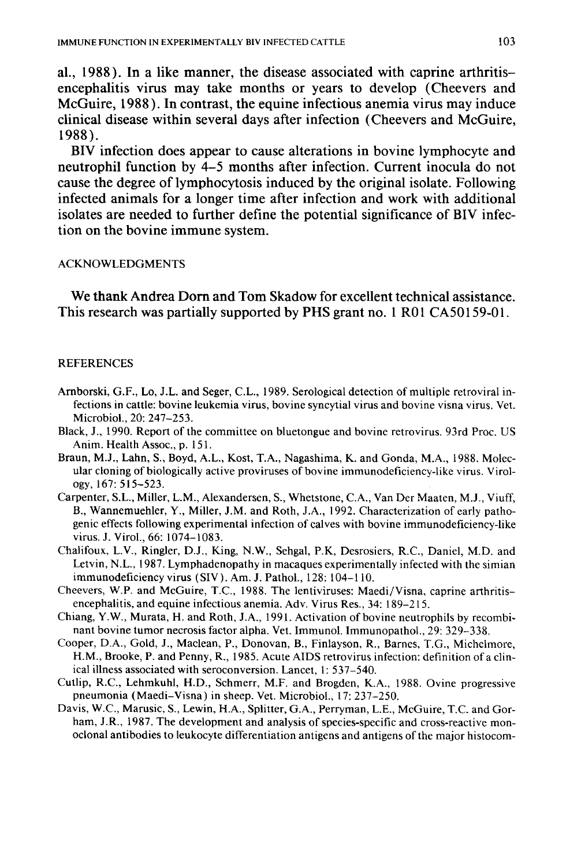al., 1988 ). In a like manner, the disease associated with caprine arthritisencephalitis virus may take months or years to develop (Cheevers and McGuire, 1988). In contrast, the equine infectious anemia virus may induce clinical disease within several days after infection (Cheevers and McGuire, 1988 ).

BIV infection does appear to cause alterations in bovine lymphocyte and neutrophil function by 4-5 months after infection. Current inocula do not cause the degree of lymphocytosis induced by the original isolate. Following infected animals for a longer time after infection and work with additional isolates are needed to further define the potential significance of BIV infection on the bovine immune system.

### ACKNOWLEDGMENTS

We thank Andrea Dom and Tom Skadow for excellent technical assistance. This research was partially supported by PHS grant no. 1 R01 CA50159-01.

### **REFERENCES**

- Arnborski, G.F., Lo, J.L. and Seger, C.L., 1989. Serological detection of multiple retroviral infections in cattle: bovine leukemia virus, bovine syncytial virus and bovine visna virus. Vet. Microbial., 20: 247-253.
- Black, J., 1990. Report of the committee on bluetongue and bovine retrovirus. 93rd Proc. US Anim. Health Assoc., p. 151.
- Braun, M.J., Lahn, S., Boyd, A.L., Kost, T.A., Nagashima, K. and Gonda, M.A., 1988. Molecular cloning of biologically active proviruses of bovine immunodeficiency-like virus. Virology, 167: 515-523.
- Carpenter, S.L., Miller, L.M., Alexandersen, S., Whetstone, C.A., Van Der Maaten, M.J., Viuff, B., Wannemuehler, Y., Miller, J.M. and Roth, J.A., 1992. Characterization of early pathogenic effects following experimental infection of calves with bovine immunodeficiency-like virus. J. Viral., 66: 1074-1083.
- Chalifoux, L.V., Ringler, D.J., King, N.W., Sehgal, P.K, Desrosiers, R.C., Daniel, M.D. and Letvin, N.L., 1987. Lymphadenopathy in macaques experimentally infected with the simian immunodeficiency virus (SlY). Am. J. Pathol., 128: 104-110.
- Cheevers, W.P. and McGuire, T.C., 1988. The lentiviruses: Maedi/Visna, caprine arthritisencephalitis, and equine infectious anemia. Adv. Virus Res., 34: 189-215.
- Chiang, Y.W., Murata, H. and Roth, J.A., 1991. Activation of bovine neutrophils by recombinant bovine tumor necrosis factor alpha. Vet. Immunol. Immunopathol., 29: 329-338.
- Cooper, D.A., Gold, J., Maclean, P., Donovan, B., Finlayson, R., Barnes, T.G., Michelmore, H.M., Brooke, P. and Penny, R., 1985. Acute AIDS retrovirus infection: definition of a clinical illness associated with seroconversion. Lancet, 1: 537-540.
- Cutlip, R.C., Lehmkuhl, H.D., Schmerr, M.F. and Brogden, K.A., 1988. Ovine progressive pneumonia (Maedi-Visna) in sheep. Vet. Microbiol., 17: 237-250.
- Davis, W.C., Marusic, S., Lewin, H.A., Splitter, G.A., Perryman, L.E., McGuire, T.C. and Gorham, J.R., 1987. The development and analysis of species-specific and cross-reactive monoclonal antibodies to leukocyte differentiation antigens and antigens of the major histocom-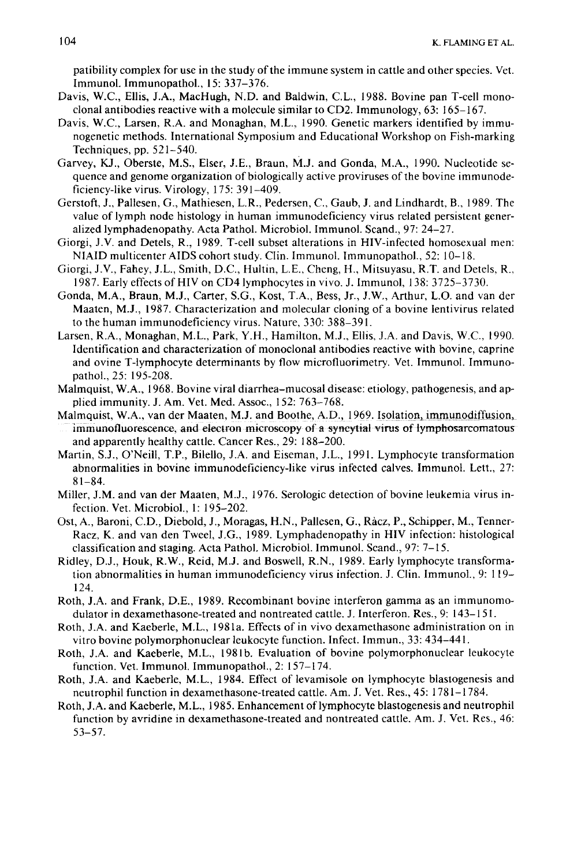patibility complex for use in the study of the immune system in cattle and other species. Vet. Immunol. Immunopathol., 15: 337-376.

- Davis, W.C., Ellis, J.A., MacHugh, N.D. and Baldwin, C.L., 1988. Bovine pan T-cell monoclonal antibodies reactive with a molecule similar to CD2. Immunology, 63: 165-167.
- Davis. W.C., Larsen, R.A. and Monaghan, M.L., 1990. Genetic markers identified by immunogenetic methods. International Symposium and Educational Workshop on Fish-marking Techniques, pp. 521-540.
- Garvey, KJ., Oberste, M.S., Elser, J.E., Braun, M.J. and Gonda, M.A., 1990. Nucleotide sequence and genome organization of biologically active proviruses of the bovine immunodeficiency-like virus. Virology, I 75: 391-409.
- Gerstoft, J., Pallesen, G., Mathiesen, L.R., Pedersen, C., Gaub, J. and Lindhardt, B., 1989. The value of lymph node histology in human immunodeficiency virus related persistent generalized lymphadenopathy. Acta Pathol. Microbial. Immunol. Scand., 97: 24-27.
- Giorgi, J.V. and Detels, R., 1989. T-cell subset alterations in HIV-infected homosexual men: NIAID multicenter AIDS cohort study. Clin. Immunol. Immunopathol., 52: 10–18.
- Giorgi, J.V., Fahey, J.L., Smith, D.C., Hultin, L.E., Cheng, H., Mitsuyasu, R.T. and Detels, R., 1987. Early effects ofHIV on CD4lymphocytes in vivo. J. Immunol, 138: 3725-3730.
- Gonda, M.A., Braun, M.J., Carter, S.G., Kost, T.A., Bess, Jr., J.W., Arthur, L.O. and van der Maaten, M.J., 1987. Characterization and molecular cloning of a bovine lentivirus related to the human immunodeficiency virus. Nature, 330: 388-391.
- Larsen, R.A., Monaghan, M.L., Park, Y.H., Hamilton, M.J., Ellis, J.A. and Davis, W.C., 1990. Identification and characterization of monoclonal antibodies reactive with bovine, caprine and ovine T-lymphocyte determinants by flow microfluorimetry. Vet. Immunol. Immunopathol., 25: 195-208.
- Malmquist, W.A., 1968. Bovine viral diarrhea-mucosal disease: etiology, pathogenesis, and applied immunity. J. Am. Vet. Med. Assoc., 152: 763-768.
- Malmquist, W.A., van der Maaten, M.J. and Boothe, A.D., 1969. Isolation, immunodiffusion, immunofluorescence, and electron microscopy of a syncytial virus of lymphosarcomatous and apparently healthy cattle. Cancer Res., 29: 188-200.
- Martin, S.J., O'Neill, T.P., Bilello, J.A. and Eiseman, J.L., 1991. Lymphocyte transformation abnormalities in bovine immunodeficiency-like virus infected calves. Immunol. Lett., 27: 81-84.
- Miller, J.M. and van der Maaten, M.J., 1976. Serologic detection of bovine leukemia virus infection. Vet. Microbiol., I: 195-202.
- Ost, A., Baroni, C.D., Diebold, J., Moragas, H.N., Pallesen, G., Racz, P., Schipper, M., Tenner-Racz, K. and van den Tweet, J.G., 1989. Lymphadenopathy in HIV infection: histological classification and staging. Acta Pathol. Microbial. lmmunol. Scand., 97: 7-15.
- Ridley, D.J., Houk, R.W., Reid, M.J. and Boswell, R.N., 1989. Early lymphocyte transformation abnormalities in human immunodeficiency virus infection. J. Clin. Immunol., 9: 119- 124.
- Roth, J.A. and Frank, D.E., 1989. Recombinant bovine interferon gamma as an immunomodulator in dexamethasone-treated and nontreated cattle. J. Interferon. Res., 9: 143-151.
- Roth, J.A. and Kaeberle, M.L., 198la. Effects of in vivo dexamethasone administration on in vitro bovine polymorphonuclear leukocyte function. Infect. Immun., 33: 434-441.
- Roth, J.A. and Kaeberle, M.L., 1981b. Evaluation of bovine polymorphonuclear leukocyte function. Vet. Immunol. Immunopathol., 2: 157-174.
- Roth, J.A. and Kaeberle, M.L., 1984. Effect of levamisole on lymphocyte blastogenesis and neutrophil function in dexamethasone-treated cattle. Am. J. Vet. Res., 45: 1781-1784.
- Roth, J.A. and Kaeberle, M.L., 1985. Enhancement of lymphocyte blastogenesis and neutrophil function by avridine in dexamethasone-treated and nontreated cattle. Am. J. Vet. Res., 46: 53-57.